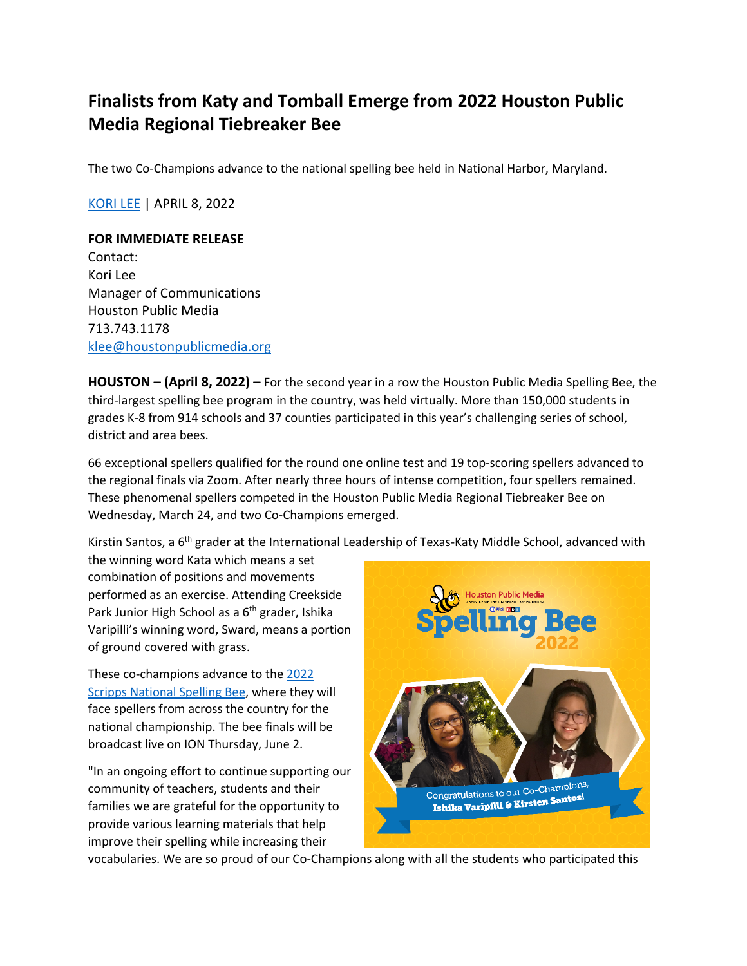## **Finalists from Katy and Tomball Emerge from 2022 Houston Public Media Regional Tiebreaker Bee**

The two Co-Champions advance to the national spelling bee held in National Harbor, Maryland.

KORI LEE | APRIL 8, 2022

## **FOR IMMEDIATE RELEASE**

Contact: Kori Lee Manager of Communications Houston Public Media 713.743.1178 klee@houstonpublicmedia.org

**HOUSTON – (April 8, 2022) –** For the second year in a row the Houston Public Media Spelling Bee, the third-largest spelling bee program in the country, was held virtually. More than 150,000 students in grades K-8 from 914 schools and 37 counties participated in this year's challenging series of school, district and area bees.

66 exceptional spellers qualified for the round one online test and 19 top-scoring spellers advanced to the regional finals via Zoom. After nearly three hours of intense competition, four spellers remained. These phenomenal spellers competed in the Houston Public Media Regional Tiebreaker Bee on Wednesday, March 24, and two Co-Champions emerged.

Kirstin Santos, a 6<sup>th</sup> grader at the International Leadership of Texas-Katy Middle School, advanced with

the winning word Kata which means a set combination of positions and movements performed as an exercise. Attending Creekside Park Junior High School as a 6<sup>th</sup> grader, Ishika Varipilli's winning word, Sward, means a portion of ground covered with grass.

These co-champions advance to the 2022 Scripps National Spelling Bee, where they will face spellers from across the country for the national championship. The bee finals will be broadcast live on ION Thursday, June 2.

"In an ongoing effort to continue supporting our community of teachers, students and their families we are grateful for the opportunity to provide various learning materials that help improve their spelling while increasing their



vocabularies. We are so proud of our Co-Champions along with all the students who participated this